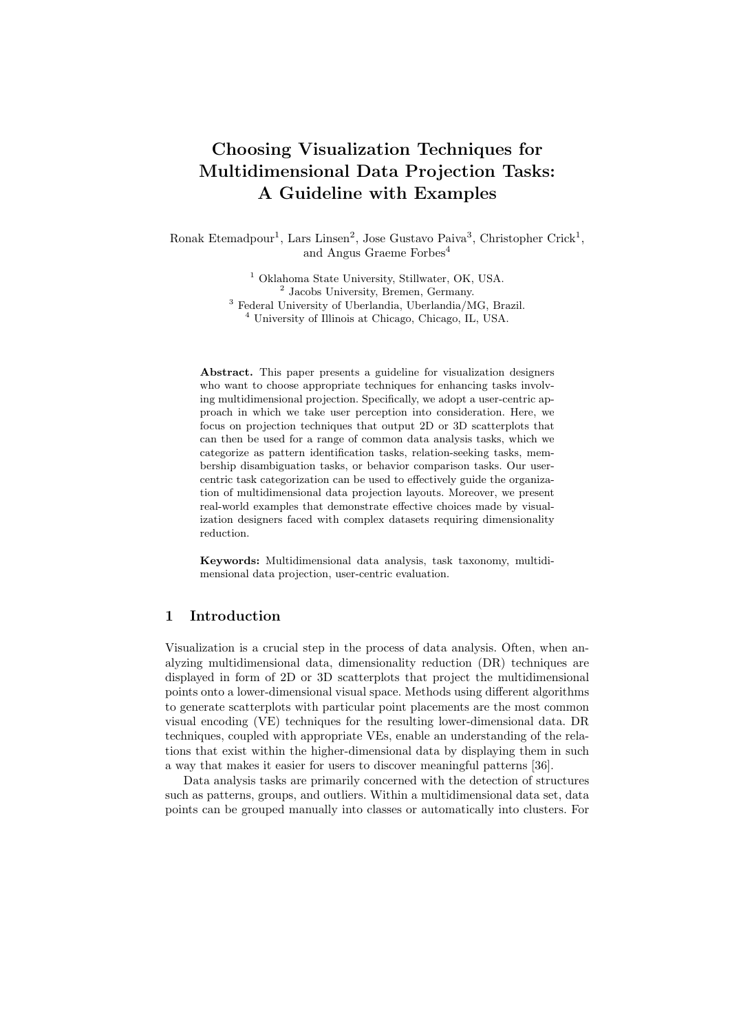# Choosing Visualization Techniques for Multidimensional Data Projection Tasks: A Guideline with Examples

Ronak Etemadpour<sup>1</sup>, Lars Linsen<sup>2</sup>, Jose Gustavo Paiva<sup>3</sup>, Christopher Crick<sup>1</sup>, and Angus Graeme Forbes<sup>4</sup>

> Oklahoma State University, Stillwater, OK, USA. Jacobs University, Bremen, Germany. Federal University of Uberlandia, Uberlandia/MG, Brazil. University of Illinois at Chicago, Chicago, IL, USA.

Abstract. This paper presents a guideline for visualization designers who want to choose appropriate techniques for enhancing tasks involving multidimensional projection. Specifically, we adopt a user-centric approach in which we take user perception into consideration. Here, we focus on projection techniques that output 2D or 3D scatterplots that can then be used for a range of common data analysis tasks, which we categorize as pattern identification tasks, relation-seeking tasks, membership disambiguation tasks, or behavior comparison tasks. Our usercentric task categorization can be used to effectively guide the organization of multidimensional data projection layouts. Moreover, we present real-world examples that demonstrate effective choices made by visualization designers faced with complex datasets requiring dimensionality reduction.

Keywords: Multidimensional data analysis, task taxonomy, multidimensional data projection, user-centric evaluation.

# 1 Introduction

Visualization is a crucial step in the process of data analysis. Often, when analyzing multidimensional data, dimensionality reduction (DR) techniques are displayed in form of 2D or 3D scatterplots that project the multidimensional points onto a lower-dimensional visual space. Methods using different algorithms to generate scatterplots with particular point placements are the most common visual encoding (VE) techniques for the resulting lower-dimensional data. DR techniques, coupled with appropriate VEs, enable an understanding of the relations that exist within the higher-dimensional data by displaying them in such a way that makes it easier for users to discover meaningful patterns [36].

Data analysis tasks are primarily concerned with the detection of structures such as patterns, groups, and outliers. Within a multidimensional data set, data points can be grouped manually into classes or automatically into clusters. For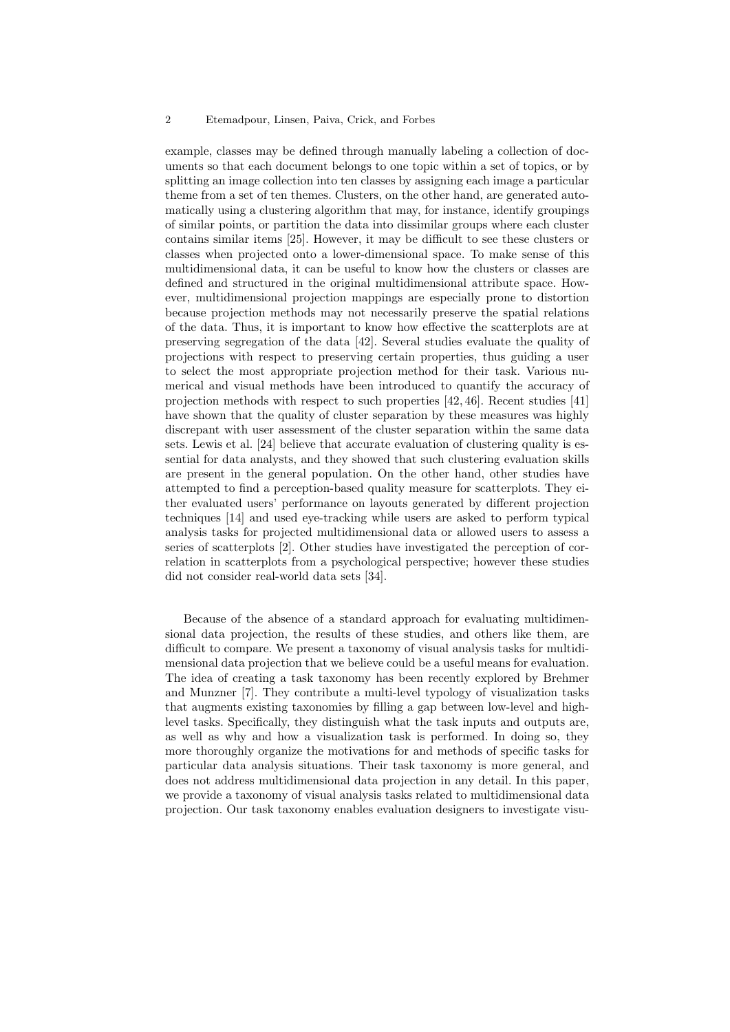example, classes may be defined through manually labeling a collection of documents so that each document belongs to one topic within a set of topics, or by splitting an image collection into ten classes by assigning each image a particular theme from a set of ten themes. Clusters, on the other hand, are generated automatically using a clustering algorithm that may, for instance, identify groupings of similar points, or partition the data into dissimilar groups where each cluster contains similar items [25]. However, it may be difficult to see these clusters or classes when projected onto a lower-dimensional space. To make sense of this multidimensional data, it can be useful to know how the clusters or classes are defined and structured in the original multidimensional attribute space. However, multidimensional projection mappings are especially prone to distortion because projection methods may not necessarily preserve the spatial relations of the data. Thus, it is important to know how effective the scatterplots are at preserving segregation of the data [42]. Several studies evaluate the quality of projections with respect to preserving certain properties, thus guiding a user to select the most appropriate projection method for their task. Various numerical and visual methods have been introduced to quantify the accuracy of projection methods with respect to such properties [42, 46]. Recent studies [41] have shown that the quality of cluster separation by these measures was highly discrepant with user assessment of the cluster separation within the same data sets. Lewis et al. [24] believe that accurate evaluation of clustering quality is essential for data analysts, and they showed that such clustering evaluation skills are present in the general population. On the other hand, other studies have attempted to find a perception-based quality measure for scatterplots. They either evaluated users' performance on layouts generated by different projection techniques [14] and used eye-tracking while users are asked to perform typical analysis tasks for projected multidimensional data or allowed users to assess a series of scatterplots [2]. Other studies have investigated the perception of correlation in scatterplots from a psychological perspective; however these studies did not consider real-world data sets [34].

Because of the absence of a standard approach for evaluating multidimensional data projection, the results of these studies, and others like them, are difficult to compare. We present a taxonomy of visual analysis tasks for multidimensional data projection that we believe could be a useful means for evaluation. The idea of creating a task taxonomy has been recently explored by Brehmer and Munzner [7]. They contribute a multi-level typology of visualization tasks that augments existing taxonomies by filling a gap between low-level and highlevel tasks. Specifically, they distinguish what the task inputs and outputs are, as well as why and how a visualization task is performed. In doing so, they more thoroughly organize the motivations for and methods of specific tasks for particular data analysis situations. Their task taxonomy is more general, and does not address multidimensional data projection in any detail. In this paper, we provide a taxonomy of visual analysis tasks related to multidimensional data projection. Our task taxonomy enables evaluation designers to investigate visu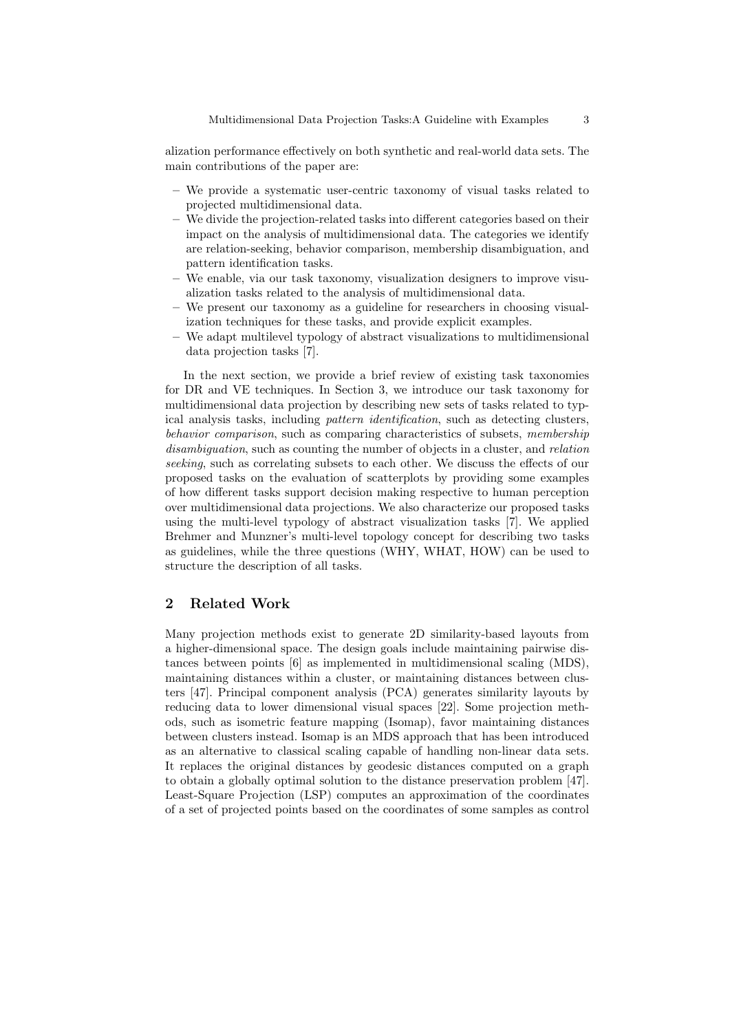alization performance effectively on both synthetic and real-world data sets. The main contributions of the paper are:

- We provide a systematic user-centric taxonomy of visual tasks related to projected multidimensional data.
- We divide the projection-related tasks into different categories based on their impact on the analysis of multidimensional data. The categories we identify are relation-seeking, behavior comparison, membership disambiguation, and pattern identification tasks.
- We enable, via our task taxonomy, visualization designers to improve visualization tasks related to the analysis of multidimensional data.
- We present our taxonomy as a guideline for researchers in choosing visualization techniques for these tasks, and provide explicit examples.
- We adapt multilevel typology of abstract visualizations to multidimensional data projection tasks [7].

In the next section, we provide a brief review of existing task taxonomies for DR and VE techniques. In Section 3, we introduce our task taxonomy for multidimensional data projection by describing new sets of tasks related to typical analysis tasks, including *pattern identification*, such as detecting clusters, behavior comparison, such as comparing characteristics of subsets, membership disambiguation, such as counting the number of objects in a cluster, and relation seeking, such as correlating subsets to each other. We discuss the effects of our proposed tasks on the evaluation of scatterplots by providing some examples of how different tasks support decision making respective to human perception over multidimensional data projections. We also characterize our proposed tasks using the multi-level typology of abstract visualization tasks [7]. We applied Brehmer and Munzner's multi-level topology concept for describing two tasks as guidelines, while the three questions (WHY, WHAT, HOW) can be used to structure the description of all tasks.

### 2 Related Work

Many projection methods exist to generate 2D similarity-based layouts from a higher-dimensional space. The design goals include maintaining pairwise distances between points [6] as implemented in multidimensional scaling (MDS), maintaining distances within a cluster, or maintaining distances between clusters [47]. Principal component analysis (PCA) generates similarity layouts by reducing data to lower dimensional visual spaces [22]. Some projection methods, such as isometric feature mapping (Isomap), favor maintaining distances between clusters instead. Isomap is an MDS approach that has been introduced as an alternative to classical scaling capable of handling non-linear data sets. It replaces the original distances by geodesic distances computed on a graph to obtain a globally optimal solution to the distance preservation problem [47]. Least-Square Projection (LSP) computes an approximation of the coordinates of a set of projected points based on the coordinates of some samples as control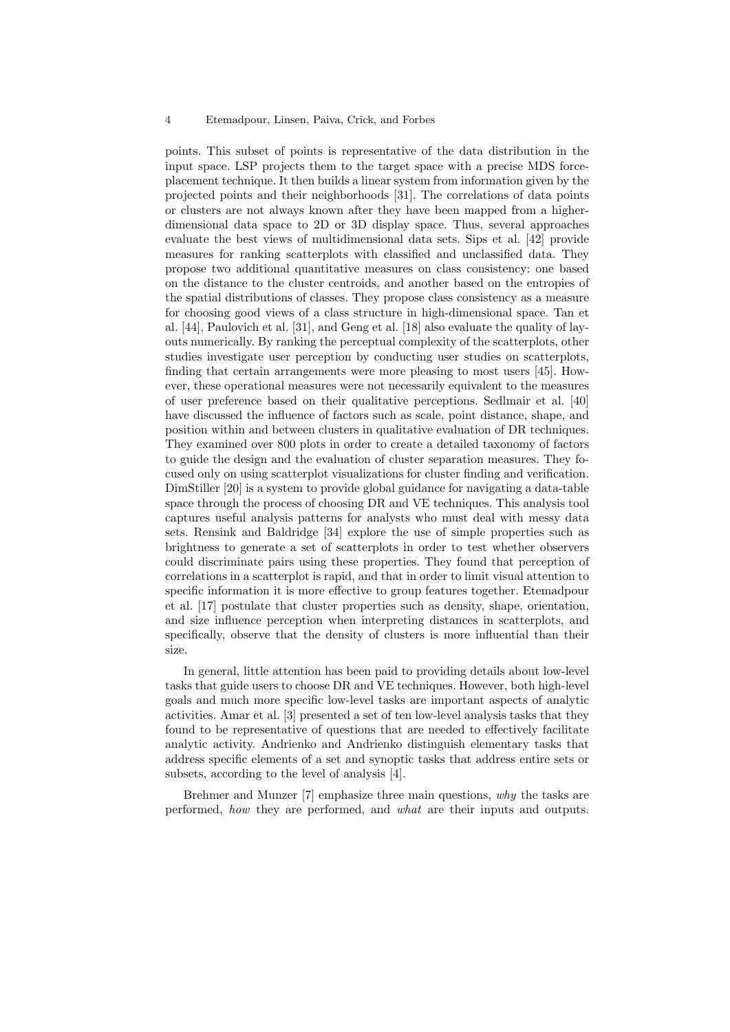points. This subset of points is representative of the data distribution in the input space. LSP projects them to the target space with a precise MDS forceplacement technique. It then builds a linear system from information given by the projected points and their neighborhoods [31]. The correlations of data points or clusters are not always known after they have been mapped from a higherdimensional data space to 2D or 3D display space. Thus, several approaches evaluate the best views of multidimensional data sets. Sips et al. [42] provide measures for ranking scatterplots with classified and unclassified data. They propose two additional quantitative measures on class consistency: one based on the distance to the cluster centroids, and another based on the entropies of the spatial distributions of classes. They propose class consistency as a measure for choosing good views of a class structure in high-dimensional space. Tan et al. [44], Paulovich et al. [31], and Geng et al. [18] also evaluate the quality of layouts numerically. By ranking the perceptual complexity of the scatterplots, other studies investigate user perception by conducting user studies on scatterplots, finding that certain arrangements were more pleasing to most users [45]. However, these operational measures were not necessarily equivalent to the measures of user preference based on their qualitative perceptions. Sedlmair et al. [40] have discussed the influence of factors such as scale, point distance, shape, and position within and between clusters in qualitative evaluation of DR techniques. They examined over 800 plots in order to create a detailed taxonomy of factors to guide the design and the evaluation of cluster separation measures. They focused only on using scatterplot visualizations for cluster finding and verification. DimStiller [20] is a system to provide global guidance for navigating a data-table space through the process of choosing DR and VE techniques. This analysis tool captures useful analysis patterns for analysts who must deal with messy data sets. Rensink and Baldridge [34] explore the use of simple properties such as brightness to generate a set of scatterplots in order to test whether observers could discriminate pairs using these properties. They found that perception of correlations in a scatterplot is rapid, and that in order to limit visual attention to specific information it is more effective to group features together. Etemadpour et al. [17] postulate that cluster properties such as density, shape, orientation, and size influence perception when interpreting distances in scatterplots, and specifically, observe that the density of clusters is more influential than their size.

In general, little attention has been paid to providing details about low-level tasks that guide users to choose DR and VE techniques. However, both high-level goals and much more specific low-level tasks are important aspects of analytic activities. Amar et al. [3] presented a set of ten low-level analysis tasks that they found to be representative of questions that are needed to effectively facilitate analytic activity. Andrienko and Andrienko distinguish elementary tasks that address specific elements of a set and synoptic tasks that address entire sets or subsets, according to the level of analysis [4].

Brehmer and Munzer [7] emphasize three main questions, why the tasks are performed, how they are performed, and what are their inputs and outputs.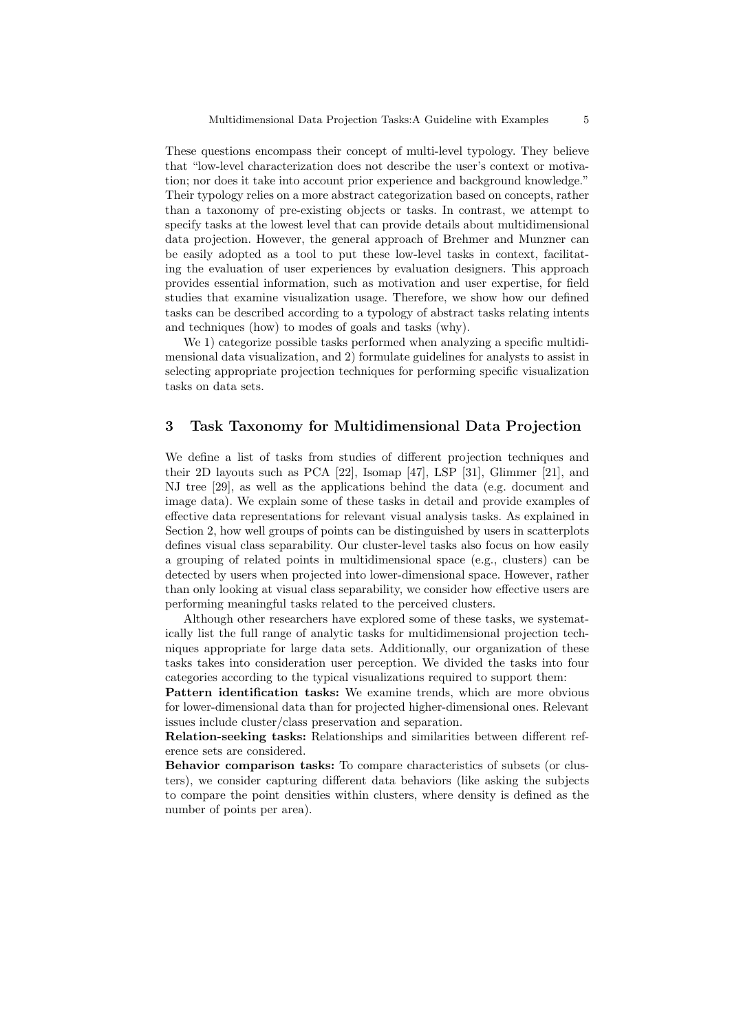These questions encompass their concept of multi-level typology. They believe that "low-level characterization does not describe the user's context or motivation; nor does it take into account prior experience and background knowledge." Their typology relies on a more abstract categorization based on concepts, rather than a taxonomy of pre-existing objects or tasks. In contrast, we attempt to specify tasks at the lowest level that can provide details about multidimensional data projection. However, the general approach of Brehmer and Munzner can be easily adopted as a tool to put these low-level tasks in context, facilitating the evaluation of user experiences by evaluation designers. This approach provides essential information, such as motivation and user expertise, for field studies that examine visualization usage. Therefore, we show how our defined tasks can be described according to a typology of abstract tasks relating intents and techniques (how) to modes of goals and tasks (why).

We 1) categorize possible tasks performed when analyzing a specific multidimensional data visualization, and 2) formulate guidelines for analysts to assist in selecting appropriate projection techniques for performing specific visualization tasks on data sets.

## 3 Task Taxonomy for Multidimensional Data Projection

We define a list of tasks from studies of different projection techniques and their 2D layouts such as PCA [22], Isomap [47], LSP [31], Glimmer [21], and NJ tree [29], as well as the applications behind the data (e.g. document and image data). We explain some of these tasks in detail and provide examples of effective data representations for relevant visual analysis tasks. As explained in Section 2, how well groups of points can be distinguished by users in scatterplots defines visual class separability. Our cluster-level tasks also focus on how easily a grouping of related points in multidimensional space (e.g., clusters) can be detected by users when projected into lower-dimensional space. However, rather than only looking at visual class separability, we consider how effective users are performing meaningful tasks related to the perceived clusters.

Although other researchers have explored some of these tasks, we systematically list the full range of analytic tasks for multidimensional projection techniques appropriate for large data sets. Additionally, our organization of these tasks takes into consideration user perception. We divided the tasks into four categories according to the typical visualizations required to support them:

Pattern identification tasks: We examine trends, which are more obvious for lower-dimensional data than for projected higher-dimensional ones. Relevant issues include cluster/class preservation and separation.

Relation-seeking tasks: Relationships and similarities between different reference sets are considered.

Behavior comparison tasks: To compare characteristics of subsets (or clusters), we consider capturing different data behaviors (like asking the subjects to compare the point densities within clusters, where density is defined as the number of points per area).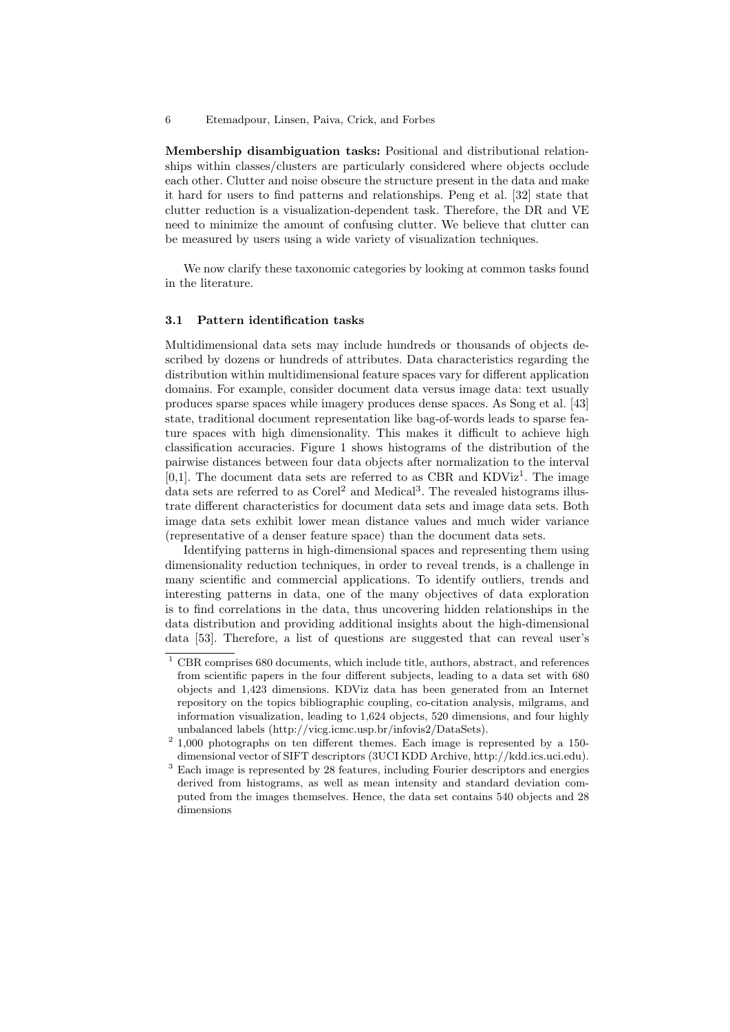Membership disambiguation tasks: Positional and distributional relationships within classes/clusters are particularly considered where objects occlude each other. Clutter and noise obscure the structure present in the data and make it hard for users to find patterns and relationships. Peng et al. [32] state that clutter reduction is a visualization-dependent task. Therefore, the DR and VE need to minimize the amount of confusing clutter. We believe that clutter can be measured by users using a wide variety of visualization techniques.

We now clarify these taxonomic categories by looking at common tasks found in the literature.

#### 3.1 Pattern identification tasks

Multidimensional data sets may include hundreds or thousands of objects described by dozens or hundreds of attributes. Data characteristics regarding the distribution within multidimensional feature spaces vary for different application domains. For example, consider document data versus image data: text usually produces sparse spaces while imagery produces dense spaces. As Song et al. [43] state, traditional document representation like bag-of-words leads to sparse feature spaces with high dimensionality. This makes it difficult to achieve high classification accuracies. Figure 1 shows histograms of the distribution of the pairwise distances between four data objects after normalization to the interval [0,1]. The document data sets are referred to as CBR and  $KDViz^1$ . The image data sets are referred to as  $\text{Core}^2$  and  $\text{Media}^3$ . The revealed histograms illustrate different characteristics for document data sets and image data sets. Both image data sets exhibit lower mean distance values and much wider variance (representative of a denser feature space) than the document data sets.

Identifying patterns in high-dimensional spaces and representing them using dimensionality reduction techniques, in order to reveal trends, is a challenge in many scientific and commercial applications. To identify outliers, trends and interesting patterns in data, one of the many objectives of data exploration is to find correlations in the data, thus uncovering hidden relationships in the data distribution and providing additional insights about the high-dimensional data [53]. Therefore, a list of questions are suggested that can reveal user's

 $^{\rm 1}$  CBR comprises 680 documents, which include title, authors, abstract, and references from scientific papers in the four different subjects, leading to a data set with 680 objects and 1,423 dimensions. KDViz data has been generated from an Internet repository on the topics bibliographic coupling, co-citation analysis, milgrams, and information visualization, leading to 1,624 objects, 520 dimensions, and four highly unbalanced labels (http://vicg.icmc.usp.br/infovis2/DataSets).

<sup>&</sup>lt;sup>2</sup> 1,000 photographs on ten different themes. Each image is represented by a 150dimensional vector of SIFT descriptors (3UCI KDD Archive, http://kdd.ics.uci.edu).

 $^3$  Each image is represented by 28 features, including Fourier descriptors and energies derived from histograms, as well as mean intensity and standard deviation computed from the images themselves. Hence, the data set contains 540 objects and 28 dimensions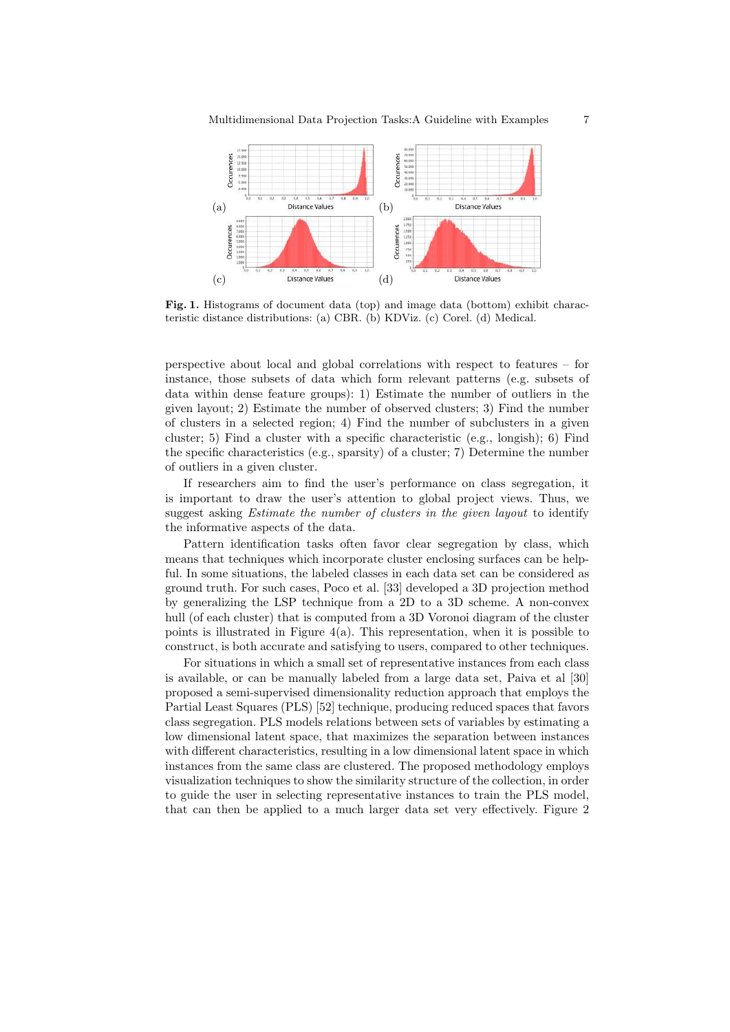

Fig. 1. Histograms of document data (top) and image data (bottom) exhibit characteristic distance distributions: (a) CBR. (b) KDViz. (c) Corel. (d) Medical.

perspective about local and global correlations with respect to features – for instance, those subsets of data which form relevant patterns (e.g. subsets of data within dense feature groups): 1) Estimate the number of outliers in the given layout; 2) Estimate the number of observed clusters; 3) Find the number of clusters in a selected region; 4) Find the number of subclusters in a given cluster; 5) Find a cluster with a specific characteristic (e.g., longish); 6) Find the specific characteristics (e.g., sparsity) of a cluster; 7) Determine the number of outliers in a given cluster.

If researchers aim to find the user's performance on class segregation, it is important to draw the user's attention to global project views. Thus, we suggest asking Estimate the number of clusters in the given layout to identify the informative aspects of the data.

Pattern identification tasks often favor clear segregation by class, which means that techniques which incorporate cluster enclosing surfaces can be helpful. In some situations, the labeled classes in each data set can be considered as ground truth. For such cases, Poco et al. [33] developed a 3D projection method by generalizing the LSP technique from a 2D to a 3D scheme. A non-convex hull (of each cluster) that is computed from a 3D Voronoi diagram of the cluster points is illustrated in Figure  $4(a)$ . This representation, when it is possible to construct, is both accurate and satisfying to users, compared to other techniques.

For situations in which a small set of representative instances from each class is available, or can be manually labeled from a large data set, Paiva et al [30] proposed a semi-supervised dimensionality reduction approach that employs the Partial Least Squares (PLS) [52] technique, producing reduced spaces that favors class segregation. PLS models relations between sets of variables by estimating a low dimensional latent space, that maximizes the separation between instances with different characteristics, resulting in a low dimensional latent space in which instances from the same class are clustered. The proposed methodology employs visualization techniques to show the similarity structure of the collection, in order to guide the user in selecting representative instances to train the PLS model, that can then be applied to a much larger data set very effectively. Figure 2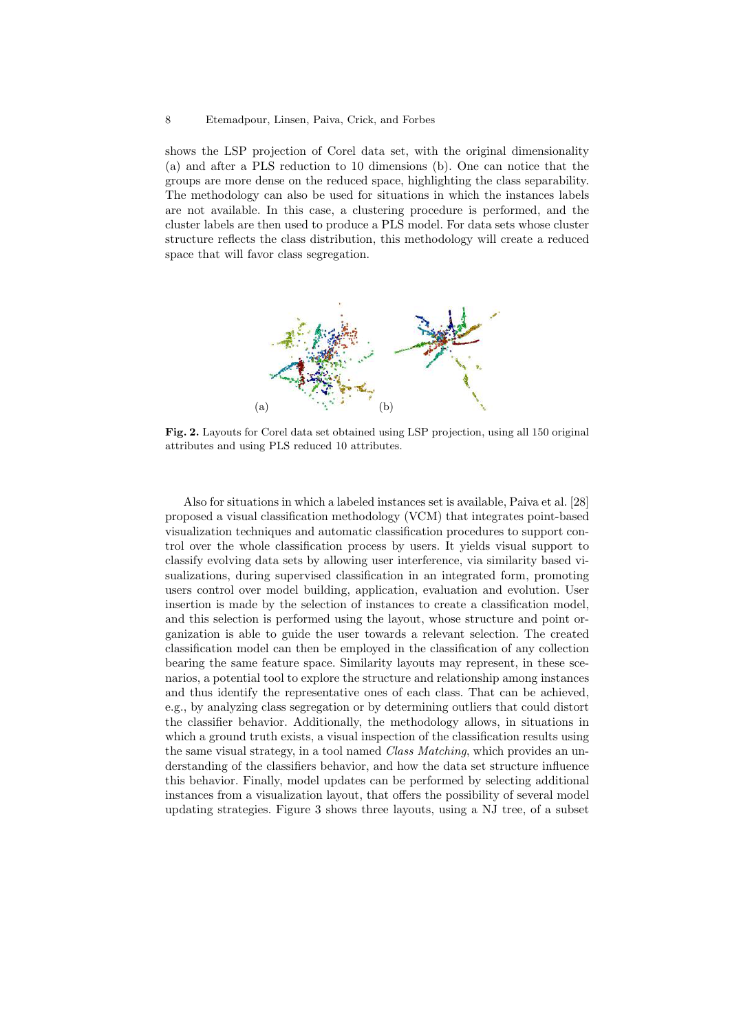shows the LSP projection of Corel data set, with the original dimensionality (a) and after a PLS reduction to 10 dimensions (b). One can notice that the groups are more dense on the reduced space, highlighting the class separability. The methodology can also be used for situations in which the instances labels are not available. In this case, a clustering procedure is performed, and the cluster labels are then used to produce a PLS model. For data sets whose cluster structure reflects the class distribution, this methodology will create a reduced space that will favor class segregation.



Fig. 2. Layouts for Corel data set obtained using LSP projection, using all 150 original attributes and using PLS reduced 10 attributes.

Also for situations in which a labeled instances set is available, Paiva et al. [28] proposed a visual classification methodology (VCM) that integrates point-based visualization techniques and automatic classification procedures to support control over the whole classification process by users. It yields visual support to classify evolving data sets by allowing user interference, via similarity based visualizations, during supervised classification in an integrated form, promoting users control over model building, application, evaluation and evolution. User insertion is made by the selection of instances to create a classification model, and this selection is performed using the layout, whose structure and point organization is able to guide the user towards a relevant selection. The created classification model can then be employed in the classification of any collection bearing the same feature space. Similarity layouts may represent, in these scenarios, a potential tool to explore the structure and relationship among instances and thus identify the representative ones of each class. That can be achieved, e.g., by analyzing class segregation or by determining outliers that could distort the classifier behavior. Additionally, the methodology allows, in situations in which a ground truth exists, a visual inspection of the classification results using the same visual strategy, in a tool named Class Matching, which provides an understanding of the classifiers behavior, and how the data set structure influence this behavior. Finally, model updates can be performed by selecting additional instances from a visualization layout, that offers the possibility of several model updating strategies. Figure 3 shows three layouts, using a NJ tree, of a subset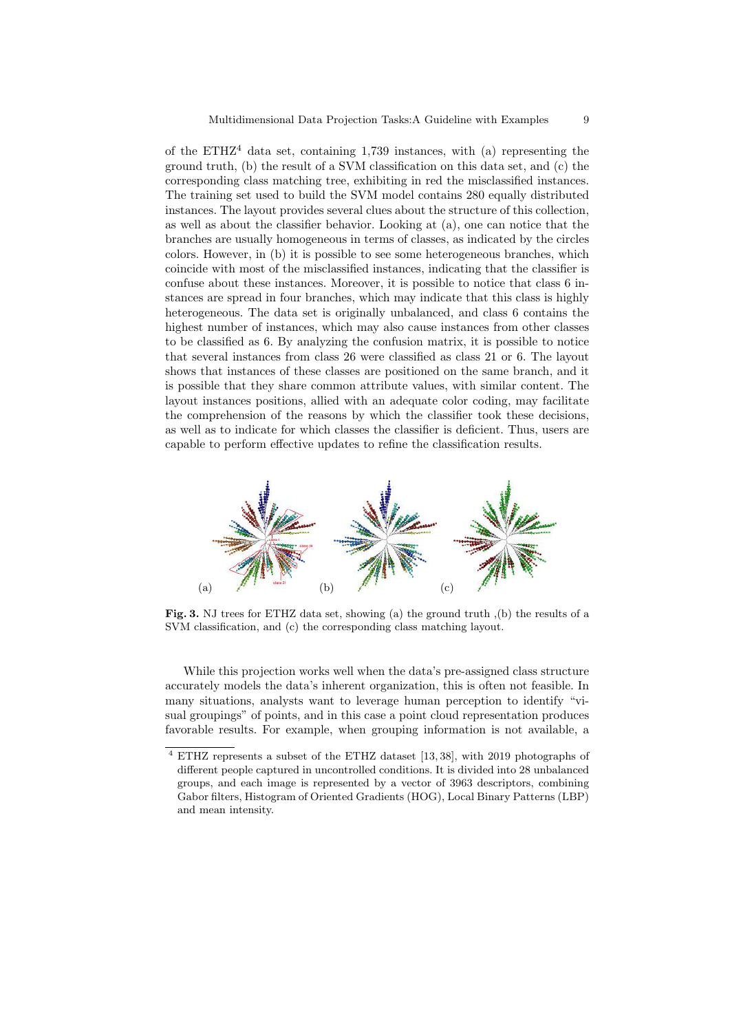of the  $ETHZ<sup>4</sup>$  data set, containing 1,739 instances, with (a) representing the ground truth, (b) the result of a SVM classification on this data set, and (c) the corresponding class matching tree, exhibiting in red the misclassified instances. The training set used to build the SVM model contains 280 equally distributed instances. The layout provides several clues about the structure of this collection, as well as about the classifier behavior. Looking at (a), one can notice that the branches are usually homogeneous in terms of classes, as indicated by the circles colors. However, in (b) it is possible to see some heterogeneous branches, which coincide with most of the misclassified instances, indicating that the classifier is confuse about these instances. Moreover, it is possible to notice that class 6 instances are spread in four branches, which may indicate that this class is highly heterogeneous. The data set is originally unbalanced, and class 6 contains the highest number of instances, which may also cause instances from other classes to be classified as 6. By analyzing the confusion matrix, it is possible to notice that several instances from class 26 were classified as class 21 or 6. The layout shows that instances of these classes are positioned on the same branch, and it is possible that they share common attribute values, with similar content. The layout instances positions, allied with an adequate color coding, may facilitate the comprehension of the reasons by which the classifier took these decisions, as well as to indicate for which classes the classifier is deficient. Thus, users are capable to perform effective updates to refine the classification results.



Fig. 3. NJ trees for ETHZ data set, showing (a) the ground truth ,(b) the results of a SVM classification, and (c) the corresponding class matching layout.

While this projection works well when the data's pre-assigned class structure accurately models the data's inherent organization, this is often not feasible. In many situations, analysts want to leverage human perception to identify "visual groupings" of points, and in this case a point cloud representation produces favorable results. For example, when grouping information is not available, a

<sup>4</sup> ETHZ represents a subset of the ETHZ dataset [13, 38], with 2019 photographs of different people captured in uncontrolled conditions. It is divided into 28 unbalanced groups, and each image is represented by a vector of 3963 descriptors, combining Gabor filters, Histogram of Oriented Gradients (HOG), Local Binary Patterns (LBP) and mean intensity.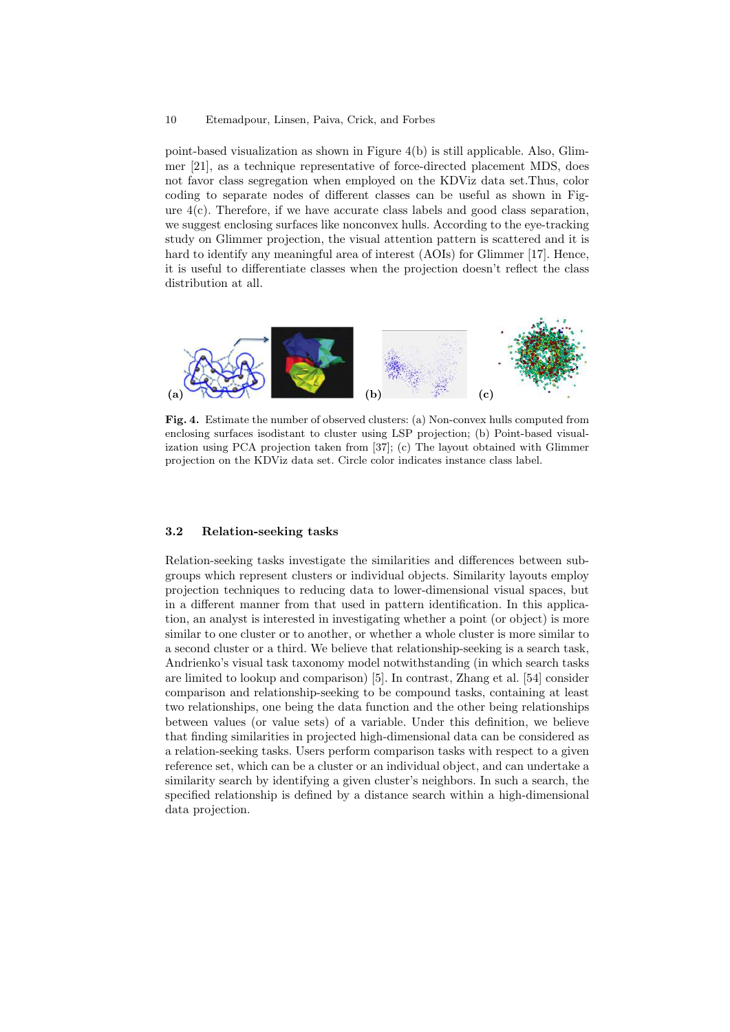point-based visualization as shown in Figure 4(b) is still applicable. Also, Glimmer [21], as a technique representative of force-directed placement MDS, does not favor class segregation when employed on the KDViz data set.Thus, color coding to separate nodes of different classes can be useful as shown in Figure 4(c). Therefore, if we have accurate class labels and good class separation, we suggest enclosing surfaces like nonconvex hulls. According to the eye-tracking study on Glimmer projection, the visual attention pattern is scattered and it is hard to identify any meaningful area of interest (AOIs) for Glimmer [17]. Hence, it is useful to differentiate classes when the projection doesn't reflect the class distribution at all.



Fig. 4. Estimate the number of observed clusters: (a) Non-convex hulls computed from enclosing surfaces isodistant to cluster using LSP projection; (b) Point-based visualization using PCA projection taken from [37]; (c) The layout obtained with Glimmer projection on the KDViz data set. Circle color indicates instance class label.

#### 3.2 Relation-seeking tasks

Relation-seeking tasks investigate the similarities and differences between subgroups which represent clusters or individual objects. Similarity layouts employ projection techniques to reducing data to lower-dimensional visual spaces, but in a different manner from that used in pattern identification. In this application, an analyst is interested in investigating whether a point (or object) is more similar to one cluster or to another, or whether a whole cluster is more similar to a second cluster or a third. We believe that relationship-seeking is a search task, Andrienko's visual task taxonomy model notwithstanding (in which search tasks are limited to lookup and comparison) [5]. In contrast, Zhang et al. [54] consider comparison and relationship-seeking to be compound tasks, containing at least two relationships, one being the data function and the other being relationships between values (or value sets) of a variable. Under this definition, we believe that finding similarities in projected high-dimensional data can be considered as a relation-seeking tasks. Users perform comparison tasks with respect to a given reference set, which can be a cluster or an individual object, and can undertake a similarity search by identifying a given cluster's neighbors. In such a search, the specified relationship is defined by a distance search within a high-dimensional data projection.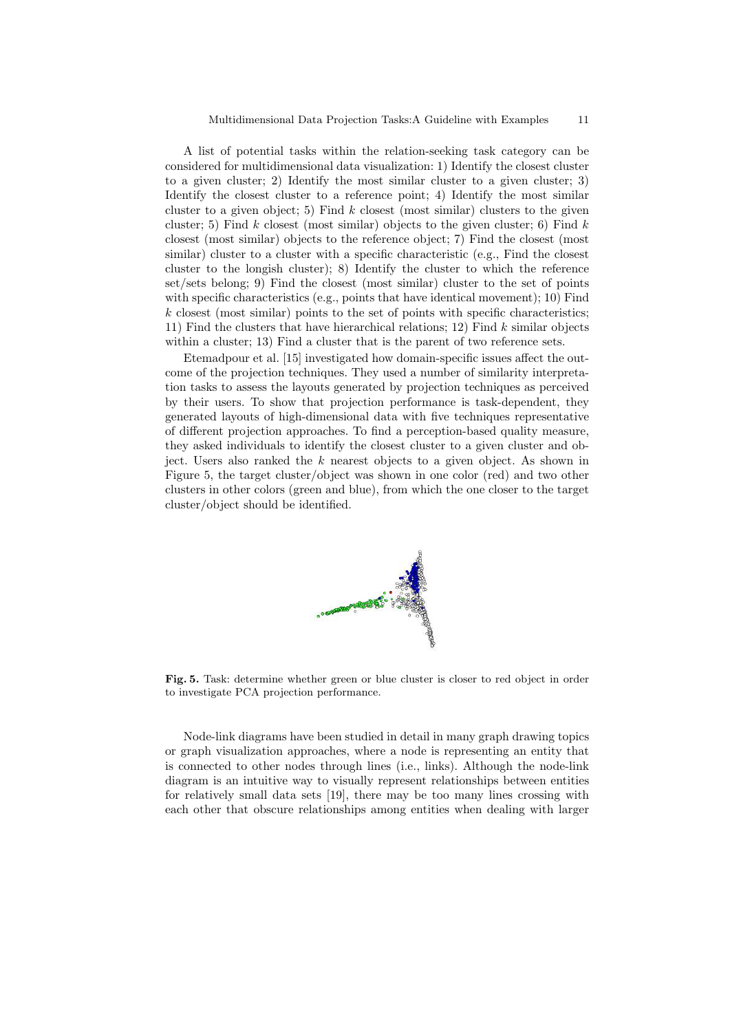A list of potential tasks within the relation-seeking task category can be considered for multidimensional data visualization: 1) Identify the closest cluster to a given cluster; 2) Identify the most similar cluster to a given cluster; 3) Identify the closest cluster to a reference point; 4) Identify the most similar cluster to a given object; 5) Find  $k$  closest (most similar) clusters to the given cluster; 5) Find k closest (most similar) objects to the given cluster; 6) Find k closest (most similar) objects to the reference object; 7) Find the closest (most similar) cluster to a cluster with a specific characteristic (e.g., Find the closest cluster to the longish cluster); 8) Identify the cluster to which the reference set/sets belong; 9) Find the closest (most similar) cluster to the set of points with specific characteristics (e.g., points that have identical movement); 10) Find  $k$  closest (most similar) points to the set of points with specific characteristics; 11) Find the clusters that have hierarchical relations; 12) Find  $k$  similar objects within a cluster; 13) Find a cluster that is the parent of two reference sets.

Etemadpour et al. [15] investigated how domain-specific issues affect the outcome of the projection techniques. They used a number of similarity interpretation tasks to assess the layouts generated by projection techniques as perceived by their users. To show that projection performance is task-dependent, they generated layouts of high-dimensional data with five techniques representative of different projection approaches. To find a perception-based quality measure, they asked individuals to identify the closest cluster to a given cluster and object. Users also ranked the  $k$  nearest objects to a given object. As shown in Figure 5, the target cluster/object was shown in one color (red) and two other clusters in other colors (green and blue), from which the one closer to the target cluster/object should be identified.



Fig. 5. Task: determine whether green or blue cluster is closer to red object in order to investigate PCA projection performance.

Node-link diagrams have been studied in detail in many graph drawing topics or graph visualization approaches, where a node is representing an entity that is connected to other nodes through lines (i.e., links). Although the node-link diagram is an intuitive way to visually represent relationships between entities for relatively small data sets [19], there may be too many lines crossing with each other that obscure relationships among entities when dealing with larger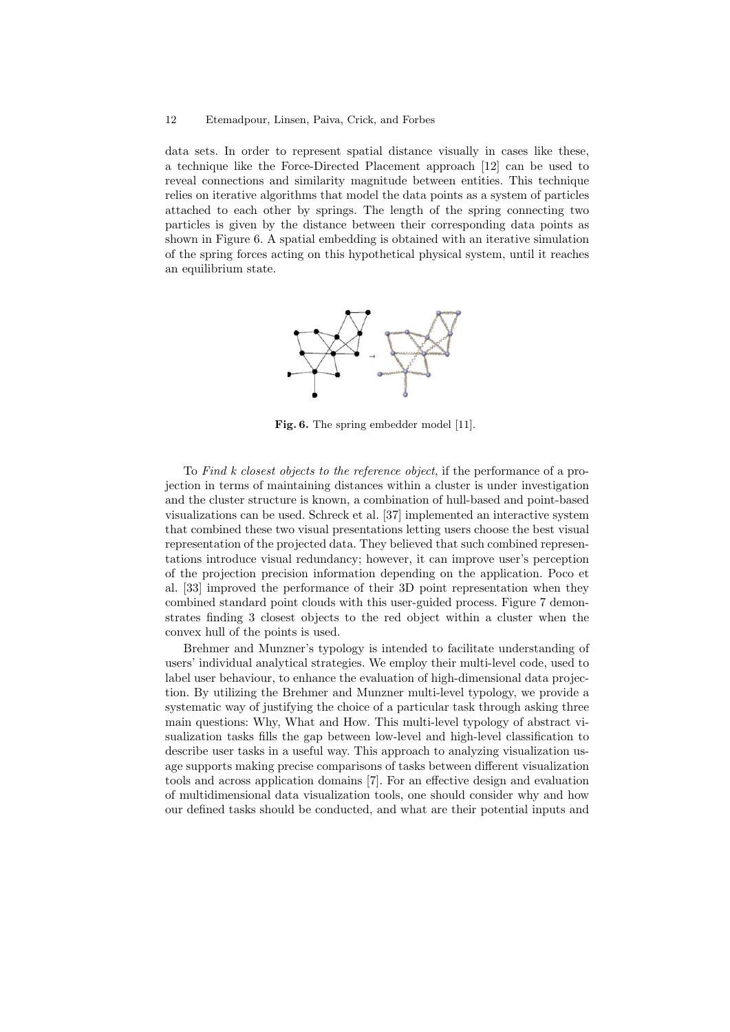data sets. In order to represent spatial distance visually in cases like these, a technique like the Force-Directed Placement approach [12] can be used to reveal connections and similarity magnitude between entities. This technique relies on iterative algorithms that model the data points as a system of particles attached to each other by springs. The length of the spring connecting two particles is given by the distance between their corresponding data points as shown in Figure 6. A spatial embedding is obtained with an iterative simulation of the spring forces acting on this hypothetical physical system, until it reaches an equilibrium state.



Fig. 6. The spring embedder model [11].

To Find k closest objects to the reference object, if the performance of a projection in terms of maintaining distances within a cluster is under investigation and the cluster structure is known, a combination of hull-based and point-based visualizations can be used. Schreck et al. [37] implemented an interactive system that combined these two visual presentations letting users choose the best visual representation of the projected data. They believed that such combined representations introduce visual redundancy; however, it can improve user's perception of the projection precision information depending on the application. Poco et al. [33] improved the performance of their 3D point representation when they combined standard point clouds with this user-guided process. Figure 7 demonstrates finding 3 closest objects to the red object within a cluster when the convex hull of the points is used.

Brehmer and Munzner's typology is intended to facilitate understanding of users' individual analytical strategies. We employ their multi-level code, used to label user behaviour, to enhance the evaluation of high-dimensional data projection. By utilizing the Brehmer and Munzner multi-level typology, we provide a systematic way of justifying the choice of a particular task through asking three main questions: Why, What and How. This multi-level typology of abstract visualization tasks fills the gap between low-level and high-level classification to describe user tasks in a useful way. This approach to analyzing visualization usage supports making precise comparisons of tasks between different visualization tools and across application domains [7]. For an effective design and evaluation of multidimensional data visualization tools, one should consider why and how our defined tasks should be conducted, and what are their potential inputs and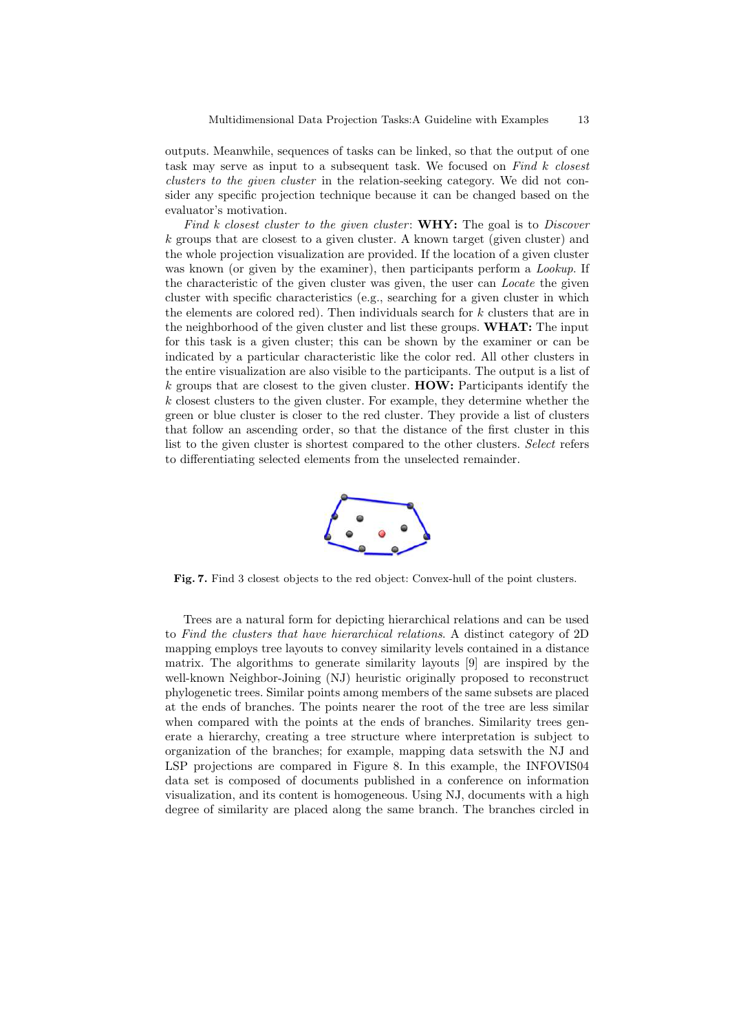outputs. Meanwhile, sequences of tasks can be linked, so that the output of one task may serve as input to a subsequent task. We focused on Find k closest clusters to the given cluster in the relation-seeking category. We did not consider any specific projection technique because it can be changed based on the evaluator's motivation.

Find k closest cluster to the given cluster:  $WHY$ : The goal is to Discover k groups that are closest to a given cluster. A known target (given cluster) and the whole projection visualization are provided. If the location of a given cluster was known (or given by the examiner), then participants perform a *Lookup*. If the characteristic of the given cluster was given, the user can Locate the given cluster with specific characteristics (e.g., searching for a given cluster in which the elements are colored red). Then individuals search for  $k$  clusters that are in the neighborhood of the given cluster and list these groups. WHAT: The input for this task is a given cluster; this can be shown by the examiner or can be indicated by a particular characteristic like the color red. All other clusters in the entire visualization are also visible to the participants. The output is a list of  $k$  groups that are closest to the given cluster. **HOW:** Participants identify the k closest clusters to the given cluster. For example, they determine whether the green or blue cluster is closer to the red cluster. They provide a list of clusters that follow an ascending order, so that the distance of the first cluster in this list to the given cluster is shortest compared to the other clusters. Select refers to differentiating selected elements from the unselected remainder.



Fig. 7. Find 3 closest objects to the red object: Convex-hull of the point clusters.

Trees are a natural form for depicting hierarchical relations and can be used to Find the clusters that have hierarchical relations. A distinct category of 2D mapping employs tree layouts to convey similarity levels contained in a distance matrix. The algorithms to generate similarity layouts [9] are inspired by the well-known Neighbor-Joining (NJ) heuristic originally proposed to reconstruct phylogenetic trees. Similar points among members of the same subsets are placed at the ends of branches. The points nearer the root of the tree are less similar when compared with the points at the ends of branches. Similarity trees generate a hierarchy, creating a tree structure where interpretation is subject to organization of the branches; for example, mapping data setswith the NJ and LSP projections are compared in Figure 8. In this example, the INFOVIS04 data set is composed of documents published in a conference on information visualization, and its content is homogeneous. Using NJ, documents with a high degree of similarity are placed along the same branch. The branches circled in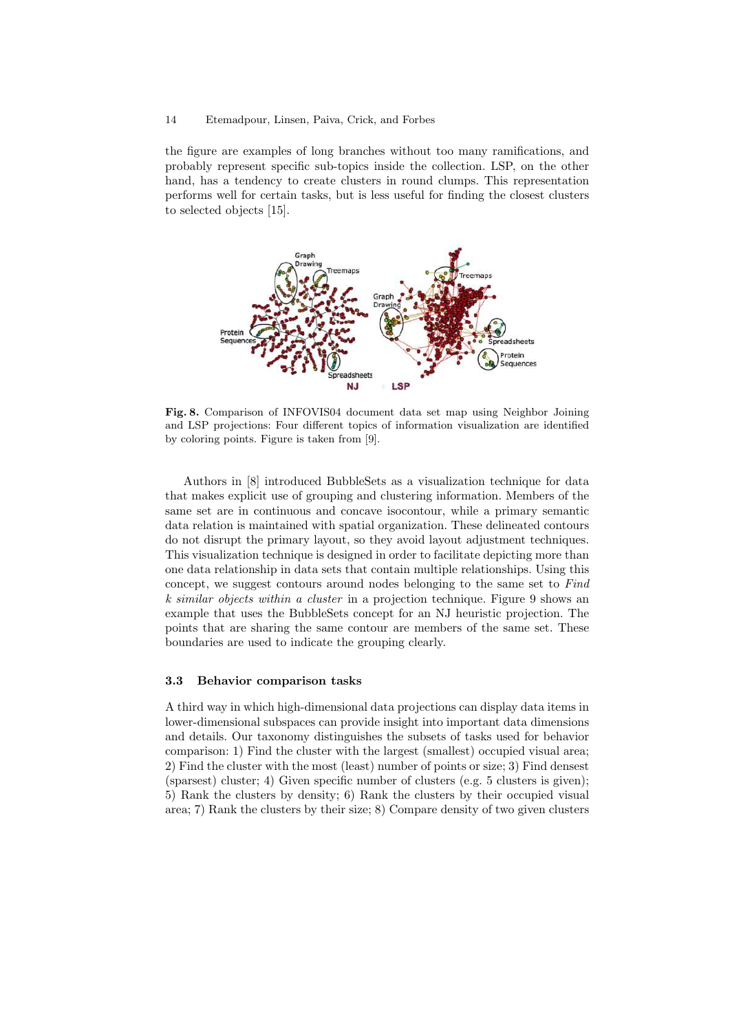the figure are examples of long branches without too many ramifications, and probably represent specific sub-topics inside the collection. LSP, on the other hand, has a tendency to create clusters in round clumps. This representation performs well for certain tasks, but is less useful for finding the closest clusters to selected objects [15].



Fig. 8. Comparison of INFOVIS04 document data set map using Neighbor Joining and LSP projections: Four different topics of information visualization are identified by coloring points. Figure is taken from [9].

Authors in [8] introduced BubbleSets as a visualization technique for data that makes explicit use of grouping and clustering information. Members of the same set are in continuous and concave isocontour, while a primary semantic data relation is maintained with spatial organization. These delineated contours do not disrupt the primary layout, so they avoid layout adjustment techniques. This visualization technique is designed in order to facilitate depicting more than one data relationship in data sets that contain multiple relationships. Using this concept, we suggest contours around nodes belonging to the same set to Find k similar objects within a cluster in a projection technique. Figure 9 shows an example that uses the BubbleSets concept for an NJ heuristic projection. The points that are sharing the same contour are members of the same set. These boundaries are used to indicate the grouping clearly.

#### 3.3 Behavior comparison tasks

A third way in which high-dimensional data projections can display data items in lower-dimensional subspaces can provide insight into important data dimensions and details. Our taxonomy distinguishes the subsets of tasks used for behavior comparison: 1) Find the cluster with the largest (smallest) occupied visual area; 2) Find the cluster with the most (least) number of points or size; 3) Find densest (sparsest) cluster; 4) Given specific number of clusters (e.g. 5 clusters is given); 5) Rank the clusters by density; 6) Rank the clusters by their occupied visual area; 7) Rank the clusters by their size; 8) Compare density of two given clusters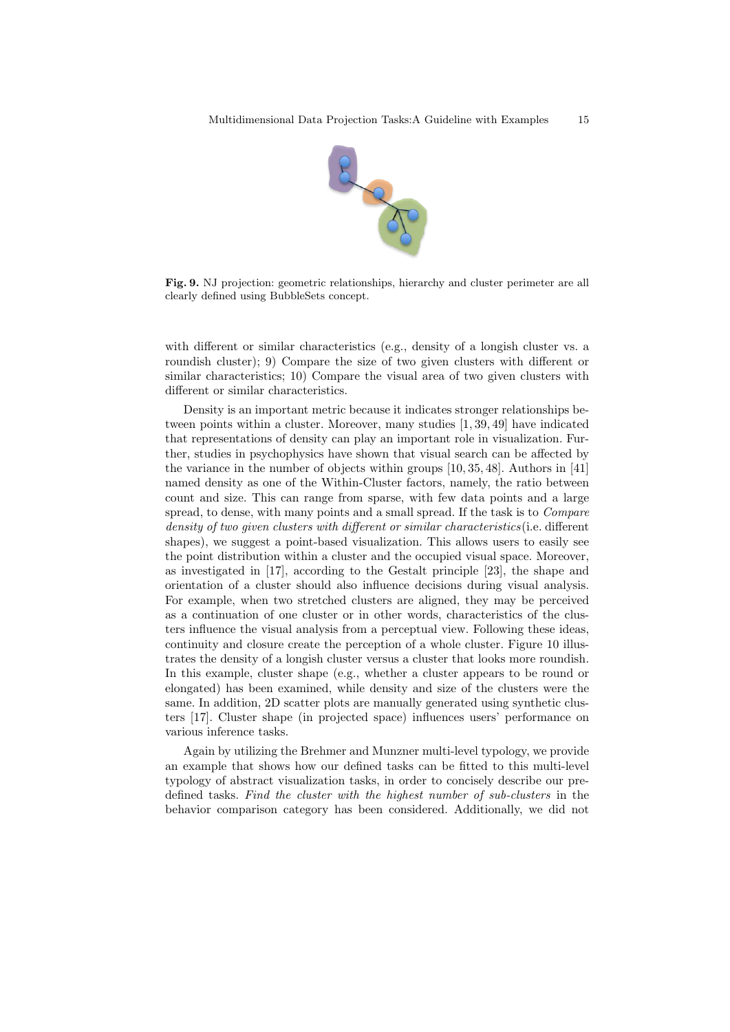

Fig. 9. NJ projection: geometric relationships, hierarchy and cluster perimeter are all clearly defined using BubbleSets concept.

with different or similar characteristics (e.g., density of a longish cluster vs. a roundish cluster); 9) Compare the size of two given clusters with different or similar characteristics; 10) Compare the visual area of two given clusters with different or similar characteristics.

Density is an important metric because it indicates stronger relationships between points within a cluster. Moreover, many studies [1, 39, 49] have indicated that representations of density can play an important role in visualization. Further, studies in psychophysics have shown that visual search can be affected by the variance in the number of objects within groups [10, 35, 48]. Authors in [41] named density as one of the Within-Cluster factors, namely, the ratio between count and size. This can range from sparse, with few data points and a large spread, to dense, with many points and a small spread. If the task is to *Compare* density of two given clusters with different or similar characteristics (i.e. different shapes), we suggest a point-based visualization. This allows users to easily see the point distribution within a cluster and the occupied visual space. Moreover, as investigated in [17], according to the Gestalt principle [23], the shape and orientation of a cluster should also influence decisions during visual analysis. For example, when two stretched clusters are aligned, they may be perceived as a continuation of one cluster or in other words, characteristics of the clusters influence the visual analysis from a perceptual view. Following these ideas, continuity and closure create the perception of a whole cluster. Figure 10 illustrates the density of a longish cluster versus a cluster that looks more roundish. In this example, cluster shape (e.g., whether a cluster appears to be round or elongated) has been examined, while density and size of the clusters were the same. In addition, 2D scatter plots are manually generated using synthetic clusters [17]. Cluster shape (in projected space) influences users' performance on various inference tasks.

Again by utilizing the Brehmer and Munzner multi-level typology, we provide an example that shows how our defined tasks can be fitted to this multi-level typology of abstract visualization tasks, in order to concisely describe our predefined tasks. Find the cluster with the highest number of sub-clusters in the behavior comparison category has been considered. Additionally, we did not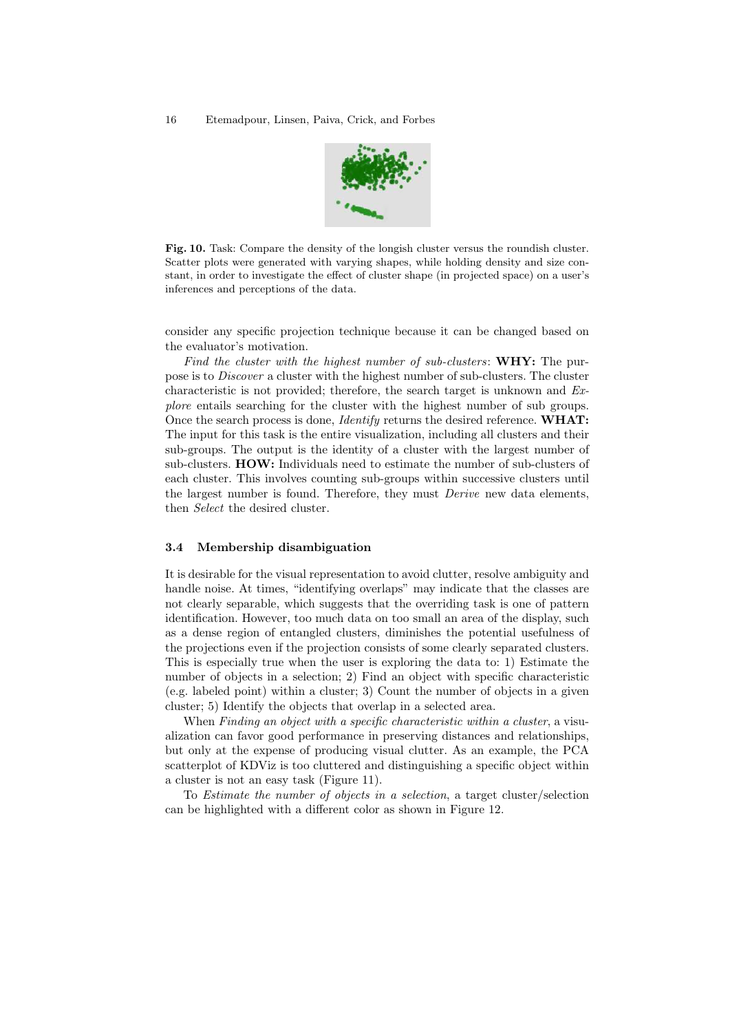

Fig. 10. Task: Compare the density of the longish cluster versus the roundish cluster. Scatter plots were generated with varying shapes, while holding density and size constant, in order to investigate the effect of cluster shape (in projected space) on a user's inferences and perceptions of the data.

consider any specific projection technique because it can be changed based on the evaluator's motivation.

Find the cluster with the highest number of sub-clusters: WHY: The purpose is to Discover a cluster with the highest number of sub-clusters. The cluster characteristic is not provided; therefore, the search target is unknown and Explore entails searching for the cluster with the highest number of sub groups. Once the search process is done, *Identify* returns the desired reference. WHAT: The input for this task is the entire visualization, including all clusters and their sub-groups. The output is the identity of a cluster with the largest number of sub-clusters. HOW: Individuals need to estimate the number of sub-clusters of each cluster. This involves counting sub-groups within successive clusters until the largest number is found. Therefore, they must Derive new data elements, then Select the desired cluster.

#### 3.4 Membership disambiguation

It is desirable for the visual representation to avoid clutter, resolve ambiguity and handle noise. At times, "identifying overlaps" may indicate that the classes are not clearly separable, which suggests that the overriding task is one of pattern identification. However, too much data on too small an area of the display, such as a dense region of entangled clusters, diminishes the potential usefulness of the projections even if the projection consists of some clearly separated clusters. This is especially true when the user is exploring the data to: 1) Estimate the number of objects in a selection; 2) Find an object with specific characteristic (e.g. labeled point) within a cluster; 3) Count the number of objects in a given cluster; 5) Identify the objects that overlap in a selected area.

When Finding an object with a specific characteristic within a cluster, a visualization can favor good performance in preserving distances and relationships, but only at the expense of producing visual clutter. As an example, the PCA scatterplot of KDViz is too cluttered and distinguishing a specific object within a cluster is not an easy task (Figure 11).

To Estimate the number of objects in a selection, a target cluster/selection can be highlighted with a different color as shown in Figure 12.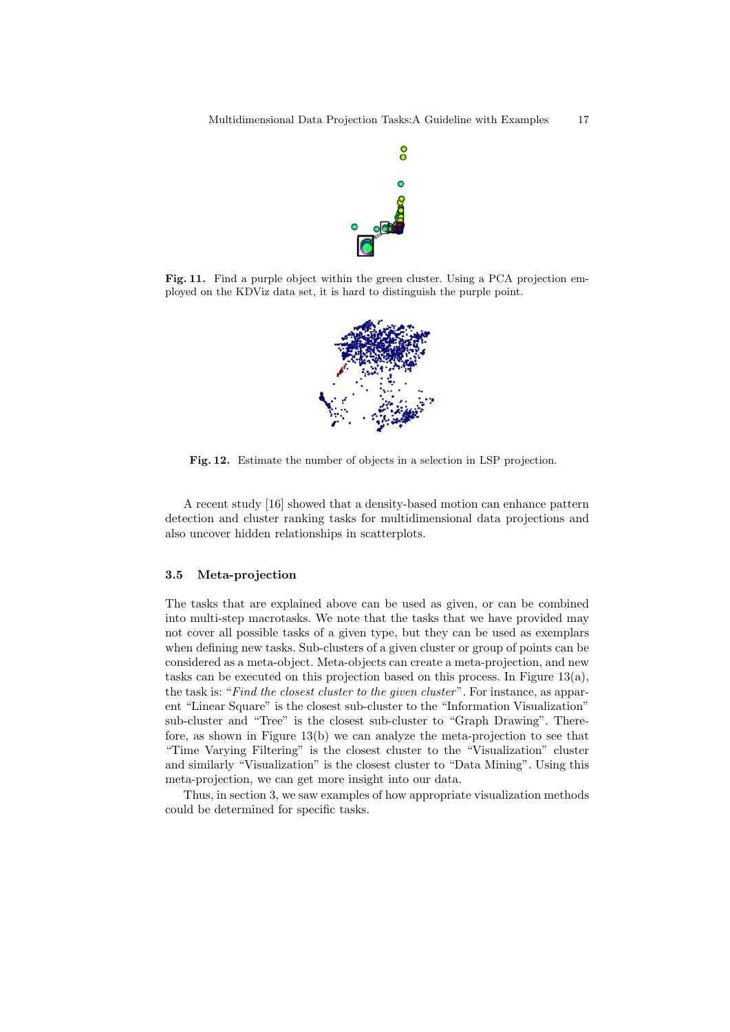

Fig. 11. Find a purple object within the green cluster. Using a PCA projection employed on the KDViz data set, it is hard to distinguish the purple point.



Fig. 12. Estimate the number of objects in a selection in LSP projection.

A recent study [16] showed that a density-based motion can enhance pattern detection and cluster ranking tasks for multidimensional data projections and also uncover hidden relationships in scatterplots.

#### 3.5 Meta-projection

The tasks that are explained above can be used as given, or can be combined into multi-step macrotasks. We note that the tasks that we have provided may not cover all possible tasks of a given type, but they can be used as exemplars when defining new tasks. Sub-clusters of a given cluster or group of points can be considered as a meta-object. Meta-objects can create a meta-projection, and new tasks can be executed on this projection based on this process. In Figure  $13(a)$ , the task is: "Find the closest cluster to the given cluster". For instance, as apparent "Linear Square" is the closest sub-cluster to the "Information Visualization" sub-cluster and "Tree" is the closest sub-cluster to "Graph Drawing". Therefore, as shown in Figure 13(b) we can analyze the meta-projection to see that "Time Varying Filtering" is the closest cluster to the "Visualization" cluster and similarly "Visualization" is the closest cluster to "Data Mining". Using this meta-projection, we can get more insight into our data.

Thus, in section 3, we saw examples of how appropriate visualization methods could be determined for specific tasks.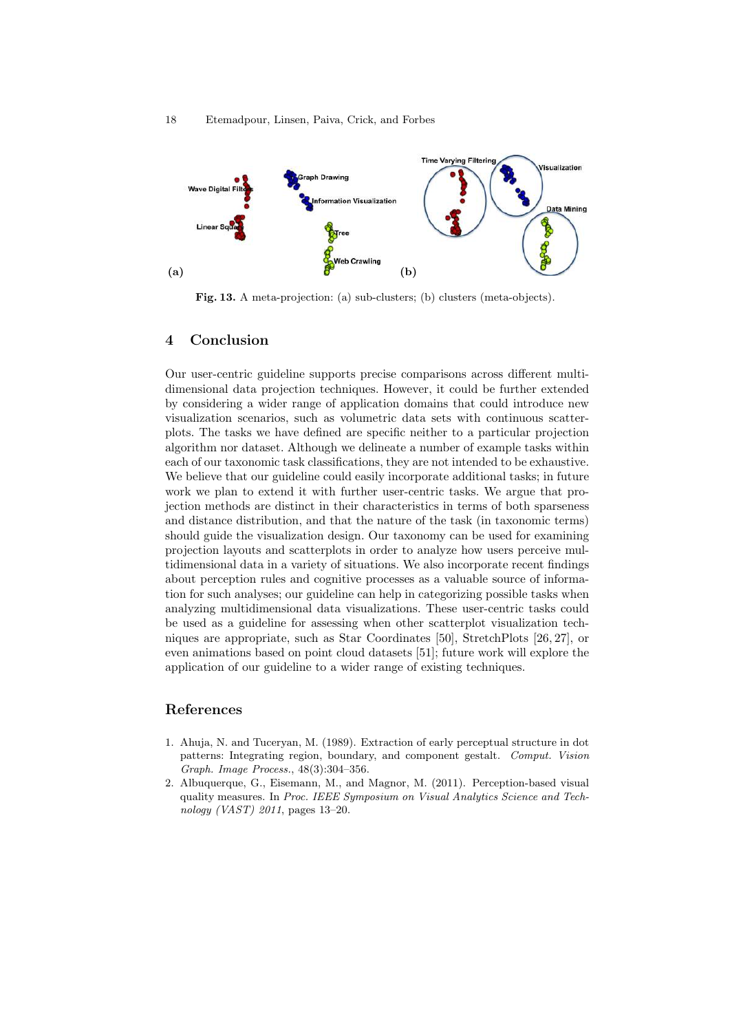

Fig. 13. A meta-projection: (a) sub-clusters; (b) clusters (meta-objects).

### 4 Conclusion

Our user-centric guideline supports precise comparisons across different multidimensional data projection techniques. However, it could be further extended by considering a wider range of application domains that could introduce new visualization scenarios, such as volumetric data sets with continuous scatterplots. The tasks we have defined are specific neither to a particular projection algorithm nor dataset. Although we delineate a number of example tasks within each of our taxonomic task classifications, they are not intended to be exhaustive. We believe that our guideline could easily incorporate additional tasks; in future work we plan to extend it with further user-centric tasks. We argue that projection methods are distinct in their characteristics in terms of both sparseness and distance distribution, and that the nature of the task (in taxonomic terms) should guide the visualization design. Our taxonomy can be used for examining projection layouts and scatterplots in order to analyze how users perceive multidimensional data in a variety of situations. We also incorporate recent findings about perception rules and cognitive processes as a valuable source of information for such analyses; our guideline can help in categorizing possible tasks when analyzing multidimensional data visualizations. These user-centric tasks could be used as a guideline for assessing when other scatterplot visualization techniques are appropriate, such as Star Coordinates [50], StretchPlots [26, 27], or even animations based on point cloud datasets [51]; future work will explore the application of our guideline to a wider range of existing techniques.

# References

- 1. Ahuja, N. and Tuceryan, M. (1989). Extraction of early perceptual structure in dot patterns: Integrating region, boundary, and component gestalt. Comput. Vision Graph. Image Process., 48(3):304–356.
- 2. Albuquerque, G., Eisemann, M., and Magnor, M. (2011). Perception-based visual quality measures. In Proc. IEEE Symposium on Visual Analytics Science and Technology (VAST) 2011, pages 13–20.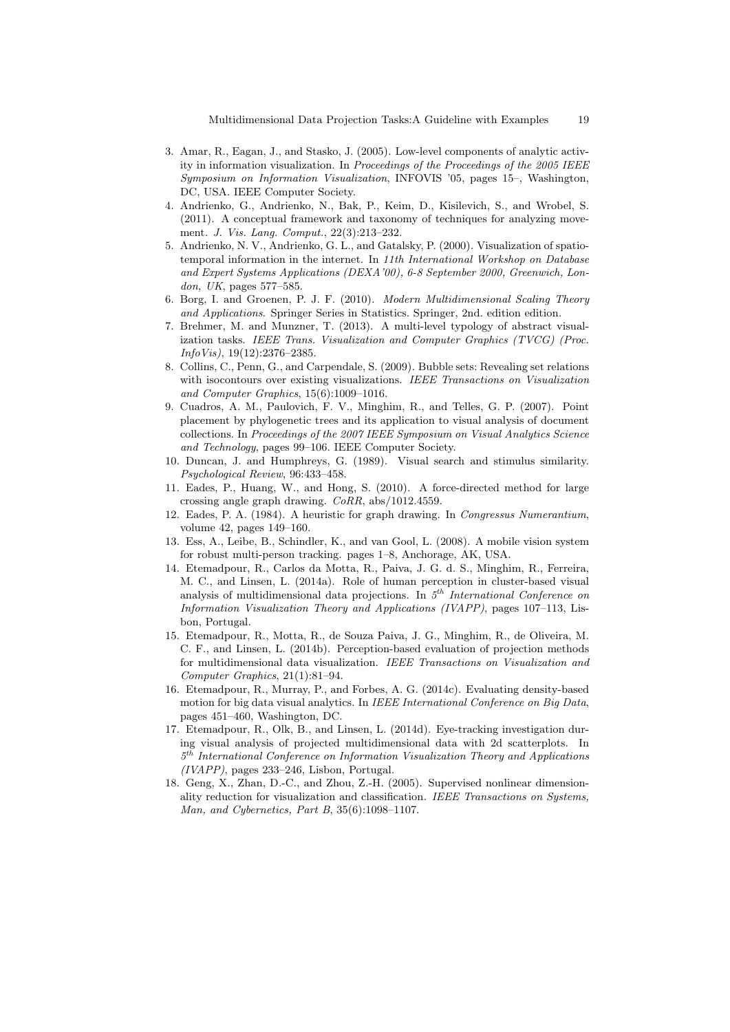- 3. Amar, R., Eagan, J., and Stasko, J. (2005). Low-level components of analytic activity in information visualization. In Proceedings of the Proceedings of the 2005 IEEE Symposium on Information Visualization, INFOVIS '05, pages 15–, Washington, DC, USA. IEEE Computer Society.
- 4. Andrienko, G., Andrienko, N., Bak, P., Keim, D., Kisilevich, S., and Wrobel, S. (2011). A conceptual framework and taxonomy of techniques for analyzing movement. J. Vis. Lang. Comput., 22(3):213–232.
- 5. Andrienko, N. V., Andrienko, G. L., and Gatalsky, P. (2000). Visualization of spatiotemporal information in the internet. In 11th International Workshop on Database and Expert Systems Applications (DEXA'00), 6-8 September 2000, Greenwich, London, UK, pages 577–585.
- 6. Borg, I. and Groenen, P. J. F. (2010). Modern Multidimensional Scaling Theory and Applications. Springer Series in Statistics. Springer, 2nd. edition edition.
- 7. Brehmer, M. and Munzner, T. (2013). A multi-level typology of abstract visualization tasks. IEEE Trans. Visualization and Computer Graphics (TVCG) (Proc. InfoVis), 19(12):2376–2385.
- 8. Collins, C., Penn, G., and Carpendale, S. (2009). Bubble sets: Revealing set relations with isocontours over existing visualizations. IEEE Transactions on Visualization and Computer Graphics, 15(6):1009–1016.
- 9. Cuadros, A. M., Paulovich, F. V., Minghim, R., and Telles, G. P. (2007). Point placement by phylogenetic trees and its application to visual analysis of document collections. In Proceedings of the 2007 IEEE Symposium on Visual Analytics Science and Technology, pages 99–106. IEEE Computer Society.
- 10. Duncan, J. and Humphreys, G. (1989). Visual search and stimulus similarity. Psychological Review, 96:433–458.
- 11. Eades, P., Huang, W., and Hong, S. (2010). A force-directed method for large crossing angle graph drawing. CoRR, abs/1012.4559.
- 12. Eades, P. A. (1984). A heuristic for graph drawing. In Congressus Numerantium, volume 42, pages 149–160.
- 13. Ess, A., Leibe, B., Schindler, K., and van Gool, L. (2008). A mobile vision system for robust multi-person tracking. pages 1–8, Anchorage, AK, USA.
- 14. Etemadpour, R., Carlos da Motta, R., Paiva, J. G. d. S., Minghim, R., Ferreira, M. C., and Linsen, L. (2014a). Role of human perception in cluster-based visual analysis of multidimensional data projections. In  $5<sup>th</sup> International Conference on$ Information Visualization Theory and Applications (IVAPP), pages 107–113, Lisbon, Portugal.
- 15. Etemadpour, R., Motta, R., de Souza Paiva, J. G., Minghim, R., de Oliveira, M. C. F., and Linsen, L. (2014b). Perception-based evaluation of projection methods for multidimensional data visualization. IEEE Transactions on Visualization and Computer Graphics, 21(1):81–94.
- 16. Etemadpour, R., Murray, P., and Forbes, A. G. (2014c). Evaluating density-based motion for big data visual analytics. In IEEE International Conference on Big Data, pages 451–460, Washington, DC.
- 17. Etemadpour, R., Olk, B., and Linsen, L. (2014d). Eye-tracking investigation during visual analysis of projected multidimensional data with 2d scatterplots. In  $5<sup>th</sup> International Conference on Information Visualization Theory and Applications$ (IVAPP), pages 233–246, Lisbon, Portugal.
- 18. Geng, X., Zhan, D.-C., and Zhou, Z.-H. (2005). Supervised nonlinear dimensionality reduction for visualization and classification. IEEE Transactions on Systems, Man, and Cybernetics, Part B, 35(6):1098–1107.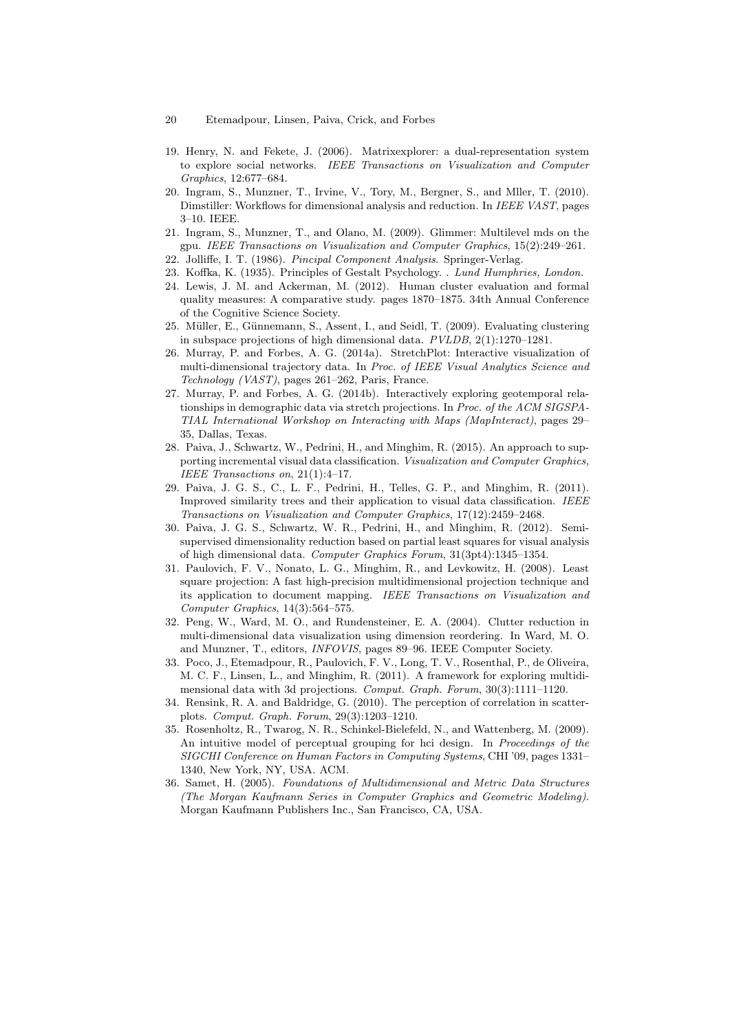- 19. Henry, N. and Fekete, J. (2006). Matrixexplorer: a dual-representation system to explore social networks. IEEE Transactions on Visualization and Computer Graphics, 12:677–684.
- 20. Ingram, S., Munzner, T., Irvine, V., Tory, M., Bergner, S., and Mller, T. (2010). Dimstiller: Workflows for dimensional analysis and reduction. In IEEE VAST, pages 3–10. IEEE.
- 21. Ingram, S., Munzner, T., and Olano, M. (2009). Glimmer: Multilevel mds on the gpu. IEEE Transactions on Visualization and Computer Graphics, 15(2):249–261.
- 22. Jolliffe, I. T. (1986). Pincipal Component Analysis. Springer-Verlag.
- 23. Koffka, K. (1935). Principles of Gestalt Psychology. . Lund Humphries, London.
- 24. Lewis, J. M. and Ackerman, M. (2012). Human cluster evaluation and formal quality measures: A comparative study. pages 1870–1875. 34th Annual Conference of the Cognitive Science Society.
- 25. Müller, E., Günnemann, S., Assent, I., and Seidl, T. (2009). Evaluating clustering in subspace projections of high dimensional data. PVLDB, 2(1):1270–1281.
- 26. Murray, P. and Forbes, A. G. (2014a). StretchPlot: Interactive visualization of multi-dimensional trajectory data. In Proc. of IEEE Visual Analytics Science and Technology (VAST), pages 261–262, Paris, France.
- 27. Murray, P. and Forbes, A. G. (2014b). Interactively exploring geotemporal relationships in demographic data via stretch projections. In Proc. of the ACM SIGSPA-TIAL International Workshop on Interacting with Maps (MapInteract), pages 29– 35, Dallas, Texas.
- 28. Paiva, J., Schwartz, W., Pedrini, H., and Minghim, R. (2015). An approach to supporting incremental visual data classification. Visualization and Computer Graphics, IEEE Transactions on, 21(1):4–17.
- 29. Paiva, J. G. S., C., L. F., Pedrini, H., Telles, G. P., and Minghim, R. (2011). Improved similarity trees and their application to visual data classification. IEEE Transactions on Visualization and Computer Graphics, 17(12):2459–2468.
- 30. Paiva, J. G. S., Schwartz, W. R., Pedrini, H., and Minghim, R. (2012). Semisupervised dimensionality reduction based on partial least squares for visual analysis of high dimensional data. Computer Graphics Forum, 31(3pt4):1345–1354.
- 31. Paulovich, F. V., Nonato, L. G., Minghim, R., and Levkowitz, H. (2008). Least square projection: A fast high-precision multidimensional projection technique and its application to document mapping. IEEE Transactions on Visualization and Computer Graphics, 14(3):564–575.
- 32. Peng, W., Ward, M. O., and Rundensteiner, E. A. (2004). Clutter reduction in multi-dimensional data visualization using dimension reordering. In Ward, M. O. and Munzner, T., editors, INFOVIS, pages 89–96. IEEE Computer Society.
- 33. Poco, J., Etemadpour, R., Paulovich, F. V., Long, T. V., Rosenthal, P., de Oliveira, M. C. F., Linsen, L., and Minghim, R. (2011). A framework for exploring multidimensional data with 3d projections. Comput. Graph. Forum, 30(3):1111–1120.
- 34. Rensink, R. A. and Baldridge, G. (2010). The perception of correlation in scatterplots. Comput. Graph. Forum, 29(3):1203–1210.
- 35. Rosenholtz, R., Twarog, N. R., Schinkel-Bielefeld, N., and Wattenberg, M. (2009). An intuitive model of perceptual grouping for hci design. In Proceedings of the SIGCHI Conference on Human Factors in Computing Systems, CHI '09, pages 1331– 1340, New York, NY, USA. ACM.
- 36. Samet, H. (2005). Foundations of Multidimensional and Metric Data Structures (The Morgan Kaufmann Series in Computer Graphics and Geometric Modeling). Morgan Kaufmann Publishers Inc., San Francisco, CA, USA.

<sup>20</sup> Etemadpour, Linsen, Paiva, Crick, and Forbes